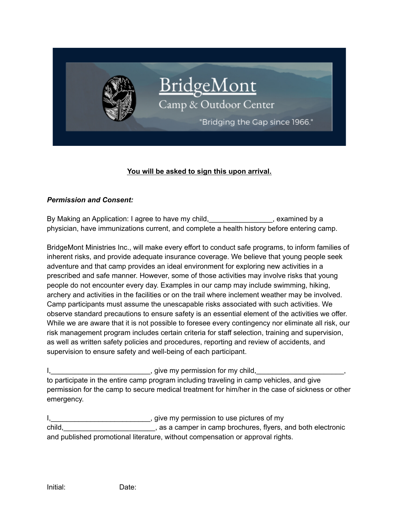

# **You will be asked to sign this upon arrival.**

#### *Permission and Consent:*

By Making an Application: I agree to have my child, examined by a physician, have immunizations current, and complete a health history before entering camp.

BridgeMont Ministries Inc., will make every effort to conduct safe programs, to inform families of inherent risks, and provide adequate insurance coverage. We believe that young people seek adventure and that camp provides an ideal environment for exploring new activities in a prescribed and safe manner. However, some of those activities may involve risks that young people do not encounter every day. Examples in our camp may include swimming, hiking, archery and activities in the facilities or on the trail where inclement weather may be involved. Camp participants must assume the unescapable risks associated with such activities. We observe standard precautions to ensure safety is an essential element of the activities we offer. While we are aware that it is not possible to foresee every contingency nor eliminate all risk, our risk management program includes certain criteria for staff selection, training and supervision, as well as written safety policies and procedures, reporting and review of accidents, and supervision to ensure safety and well-being of each participant.

I, the same control of the state of the state of the state of the state of the state of the state of the state o to participate in the entire camp program including traveling in camp vehicles, and give permission for the camp to secure medical treatment for him/her in the case of sickness or other emergency.

I, 1, 2008 The my permission to use pictures of my child,\_\_\_\_\_\_\_\_\_\_\_\_\_\_\_\_\_\_\_\_\_\_\_, as a camper in camp brochures, flyers, and both electronic and published promotional literature, without compensation or approval rights.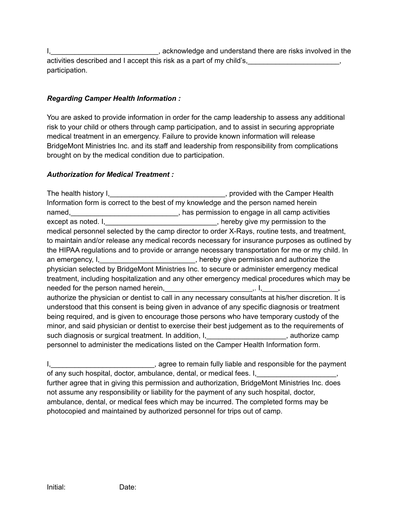I,\_\_\_\_\_\_\_\_\_\_\_\_\_\_\_\_\_\_\_\_\_\_\_\_\_\_\_, acknowledge and understand there are risks involved in the activities described and I accept this risk as a part of my child's, participation.

# *Regarding Camper Health Information :*

You are asked to provide information in order for the camp leadership to assess any additional risk to your child or others through camp participation, and to assist in securing appropriate medical treatment in an emergency. Failure to provide known information will release BridgeMont Ministries Inc. and its staff and leadership from responsibility from complications brought on by the medical condition due to participation.

# *Authorization for Medical Treatment :*

The health history I,\_\_\_\_\_\_\_\_\_\_\_\_\_\_\_\_\_\_\_\_\_\_\_\_\_\_\_\_\_\_\_\_\_, provided with the Camper Health Information form is correct to the best of my knowledge and the person named herein named, <u>the contract of the set of the set of the set of the set of the set of the set of the set of the set of</u> except as noted. I, \_\_\_\_\_\_\_\_\_\_\_\_\_\_\_\_\_\_\_\_\_\_\_\_\_\_\_, hereby give my permission to the medical personnel selected by the camp director to order X-Rays, routine tests, and treatment, to maintain and/or release any medical records necessary for insurance purposes as outlined by the HIPAA regulations and to provide or arrange necessary transportation for me or my child. In an emergency, I, The Communist Communist Communist Communist Communist Communist Communist Communist Communist Communist Communist Communist Communist Communist Communist Communist Communist Communist Communist Communist C physician selected by BridgeMont Ministries Inc. to secure or administer emergency medical treatment, including hospitalization and any other emergency medical procedures which may be needed for the person named herein,\_\_\_\_\_\_\_\_\_\_\_\_\_\_\_\_\_\_\_\_\_\_,. I,\_\_\_\_\_\_\_\_\_\_\_\_\_\_\_\_\_\_\_, authorize the physician or dentist to call in any necessary consultants at his/her discretion. It is understood that this consent is being given in advance of any specific diagnosis or treatment being required, and is given to encourage those persons who have temporary custody of the minor, and said physician or dentist to exercise their best judgement as to the requirements of such diagnosis or surgical treatment. In addition, I, with the substitution and horize camp personnel to administer the medications listed on the Camper Health Information form.

I, \_\_\_\_\_\_\_\_\_\_\_\_\_\_\_\_\_\_\_\_\_\_\_\_\_\_, agree to remain fully liable and responsible for the payment of any such hospital, doctor, ambulance, dental, or medical fees. I, \_\_\_\_\_\_\_\_\_\_\_\_\_\_\_\_\_\_, further agree that in giving this permission and authorization, BridgeMont Ministries Inc. does not assume any responsibility or liability for the payment of any such hospital, doctor, ambulance, dental, or medical fees which may be incurred. The completed forms may be photocopied and maintained by authorized personnel for trips out of camp.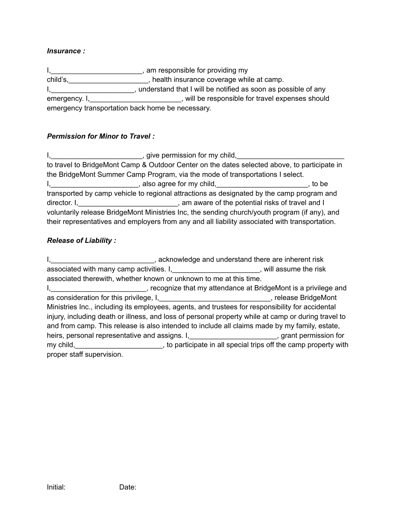### *Insurance :*

I,\_\_\_\_\_\_\_\_\_\_\_\_\_\_\_\_\_\_\_\_\_\_\_\_\_\_\_, am responsible for providing my child's, child's, child's, health insurance coverage while at camp. I, the solution of any inderstand that I will be notified as soon as possible of any emergency. I,\_\_\_\_\_\_\_\_\_\_\_\_\_\_\_\_\_\_\_\_\_\_\_\_\_\_, will be responsible for travel expenses should emergency transportation back home be necessary.

### *Permission for Minor to Travel :*

I, \_\_\_\_\_\_\_\_\_\_\_\_\_\_\_\_\_\_\_\_\_\_\_\_\_\_\_\_, give permission for my child, \_\_\_\_\_\_\_\_\_\_\_\_\_\_\_\_\_ to travel to BridgeMont Camp & Outdoor Center on the dates selected above, to participate in the BridgeMont Summer Camp Program, via the mode of transportations I select. I, to be also agree for my child, transported by camp vehicle to regional attractions as designated by the camp program and director. I,\_\_\_\_\_\_\_\_\_\_\_\_\_\_\_\_\_\_\_\_\_\_\_\_\_\_\_\_\_\_\_, am aware of the potential risks of travel and I voluntarily release BridgeMont Ministries Inc, the sending church/youth program (if any), and their representatives and employers from any and all liability associated with transportation.

#### *Release of Liability :*

I, **I** acknowledge and understand there are inherent risk associated with many camp activities. I, example and results associated with many camp activities. I, associated therewith, whether known or unknown to me at this time. I, Election and the computer of that my attendance at BridgeMont is a privilege and as consideration for this privilege, I, example and the set of the set of the set of the set of the set of the set of the set of the set of the set of the set of the set of the set of the set of the set of the set of the s Ministries Inc., including its employees, agents, and trustees for responsibility for accidental injury, including death or illness, and loss of personal property while at camp or during travel to and from camp. This release is also intended to include all claims made by my family, estate, heirs, personal representative and assigns. I, \_\_\_\_\_\_\_\_\_\_\_\_\_\_\_\_\_\_\_\_\_\_\_\_\_, grant permission for my child, \_\_\_\_\_\_\_\_\_\_\_\_\_\_\_\_\_\_\_\_\_\_\_, to participate in all special trips off the camp property with proper staff supervision.